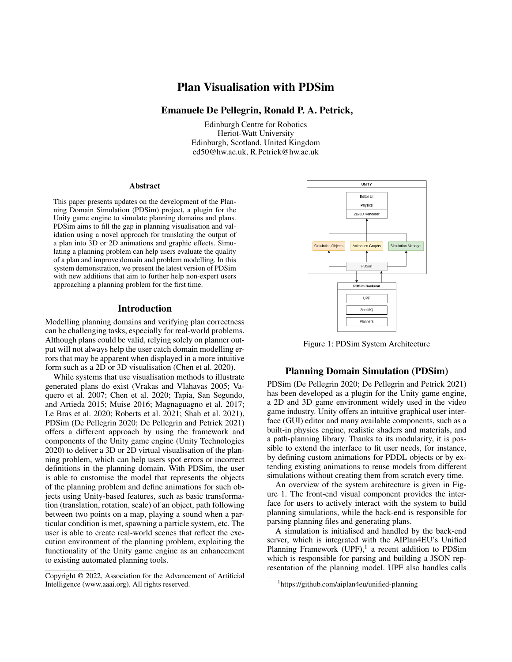# Plan Visualisation with PDSim

# Emanuele De Pellegrin, Ronald P. A. Petrick,

Edinburgh Centre for Robotics Heriot-Watt University Edinburgh, Scotland, United Kingdom ed50@hw.ac.uk, R.Petrick@hw.ac.uk

#### Abstract

This paper presents updates on the development of the Planning Domain Simulation (PDSim) project, a plugin for the Unity game engine to simulate planning domains and plans. PDSim aims to fill the gap in planning visualisation and validation using a novel approach for translating the output of a plan into 3D or 2D animations and graphic effects. Simulating a planning problem can help users evaluate the quality of a plan and improve domain and problem modelling. In this system demonstration, we present the latest version of PDSim with new additions that aim to further help non-expert users approaching a planning problem for the first time.

#### Introduction

Modelling planning domains and verifying plan correctness can be challenging tasks, especially for real-world problems. Although plans could be valid, relying solely on planner output will not always help the user catch domain modelling errors that may be apparent when displayed in a more intuitive form such as a 2D or 3D visualisation (Chen et al. 2020).

While systems that use visualisation methods to illustrate generated plans do exist (Vrakas and Vlahavas 2005; Vaquero et al. 2007; Chen et al. 2020; Tapia, San Segundo, and Artieda 2015; Muise 2016; Magnaguagno et al. 2017; Le Bras et al. 2020; Roberts et al. 2021; Shah et al. 2021), PDSim (De Pellegrin 2020; De Pellegrin and Petrick 2021) offers a different approach by using the framework and components of the Unity game engine (Unity Technologies 2020) to deliver a 3D or 2D virtual visualisation of the planning problem, which can help users spot errors or incorrect definitions in the planning domain. With PDSim, the user is able to customise the model that represents the objects of the planning problem and define animations for such objects using Unity-based features, such as basic transformation (translation, rotation, scale) of an object, path following between two points on a map, playing a sound when a particular condition is met, spawning a particle system, etc. The user is able to create real-world scenes that reflect the execution environment of the planning problem, exploiting the functionality of the Unity game engine as an enhancement to existing automated planning tools.



Figure 1: PDSim System Architecture

# Planning Domain Simulation (PDSim)

PDSim (De Pellegrin 2020; De Pellegrin and Petrick 2021) has been developed as a plugin for the Unity game engine, a 2D and 3D game environment widely used in the video game industry. Unity offers an intuitive graphical user interface (GUI) editor and many available components, such as a built-in physics engine, realistic shaders and materials, and a path-planning library. Thanks to its modularity, it is possible to extend the interface to fit user needs, for instance, by defining custom animations for PDDL objects or by extending existing animations to reuse models from different simulations without creating them from scratch every time.

An overview of the system architecture is given in Figure 1. The front-end visual component provides the interface for users to actively interact with the system to build planning simulations, while the back-end is responsible for parsing planning files and generating plans.

A simulation is initialised and handled by the back-end server, which is integrated with the AIPlan4EU's Unified Planning Framework  $(UPF)$ ,<sup>1</sup> a recent addition to PDSim which is responsible for parsing and building a JSON representation of the planning model. UPF also handles calls

Copyright © 2022, Association for the Advancement of Artificial Intelligence (www.aaai.org). All rights reserved.

<sup>1</sup> https://github.com/aiplan4eu/unified-planning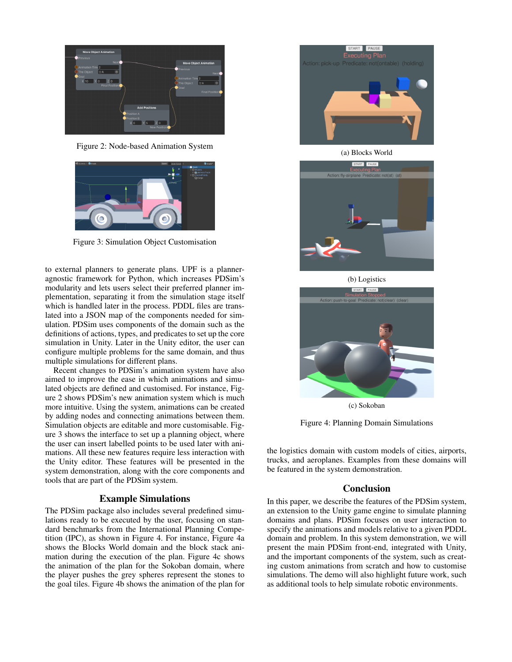

Figure 2: Node-based Animation System



Figure 3: Simulation Object Customisation

to external planners to generate plans. UPF is a planneragnostic framework for Python, which increases PDSim's modularity and lets users select their preferred planner implementation, separating it from the simulation stage itself which is handled later in the process. PDDL files are translated into a JSON map of the components needed for simulation. PDSim uses components of the domain such as the definitions of actions, types, and predicates to set up the core simulation in Unity. Later in the Unity editor, the user can configure multiple problems for the same domain, and thus multiple simulations for different plans.

Recent changes to PDSim's animation system have also aimed to improve the ease in which animations and simulated objects are defined and customised. For instance, Figure 2 shows PDSim's new animation system which is much more intuitive. Using the system, animations can be created by adding nodes and connecting animations between them. Simulation objects are editable and more customisable. Figure 3 shows the interface to set up a planning object, where the user can insert labelled points to be used later with animations. All these new features require less interaction with the Unity editor. These features will be presented in the system demonstration, along with the core components and tools that are part of the PDSim system.

# Example Simulations

The PDSim package also includes several predefined simulations ready to be executed by the user, focusing on standard benchmarks from the International Planning Competition (IPC), as shown in Figure 4. For instance, Figure 4a shows the Blocks World domain and the block stack animation during the execution of the plan. Figure 4c shows the animation of the plan for the Sokoban domain, where the player pushes the grey spheres represent the stones to the goal tiles. Figure 4b shows the animation of the plan for



(a) Blocks World



(b) Logistics



(c) Sokoban

Figure 4: Planning Domain Simulations

the logistics domain with custom models of cities, airports, trucks, and aeroplanes. Examples from these domains will be featured in the system demonstration.

### Conclusion

In this paper, we describe the features of the PDSim system, an extension to the Unity game engine to simulate planning domains and plans. PDSim focuses on user interaction to specify the animations and models relative to a given PDDL domain and problem. In this system demonstration, we will present the main PDSim front-end, integrated with Unity, and the important components of the system, such as creating custom animations from scratch and how to customise simulations. The demo will also highlight future work, such as additional tools to help simulate robotic environments.